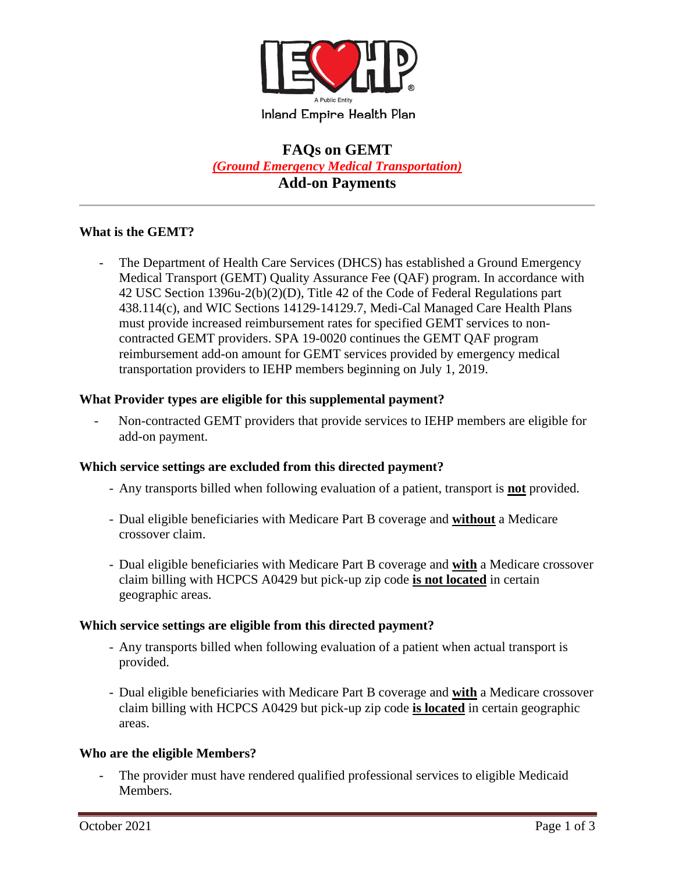

# **FAQs on GEMT**  *(Ground Emergency Medical Transportation)* **Add-on Payments**

## **What is the GEMT?**

The Department of Health Care Services (DHCS) has established a Ground Emergency Medical Transport (GEMT) Quality Assurance Fee (QAF) program. In accordance with 42 USC Section 1396u-2(b)(2)(D), Title 42 of the Code of Federal Regulations part 438.114(c), and WIC Sections 14129-14129.7, Medi-Cal Managed Care Health Plans must provide increased reimbursement rates for specified GEMT services to noncontracted GEMT providers. SPA 19-0020 continues the GEMT QAF program reimbursement add-on amount for GEMT services provided by emergency medical transportation providers to IEHP members beginning on July 1, 2019.

## **What Provider types are eligible for this supplemental payment?**

- Non-contracted GEMT providers that provide services to IEHP members are eligible for add-on payment.

#### **Which service settings are excluded from this directed payment?**

- Any transports billed when following evaluation of a patient, transport is **not** provided.
- Dual eligible beneficiaries with Medicare Part B coverage and **without** a Medicare crossover claim.
- Dual eligible beneficiaries with Medicare Part B coverage and **with** a Medicare crossover claim billing with HCPCS A0429 but pick-up zip code **is not located** in certain geographic areas.

#### **Which service settings are eligible from this directed payment?**

- Any transports billed when following evaluation of a patient when actual transport is provided.
- Dual eligible beneficiaries with Medicare Part B coverage and **with** a Medicare crossover claim billing with HCPCS A0429 but pick-up zip code **is located** in certain geographic areas.

#### **Who are the eligible Members?**

The provider must have rendered qualified professional services to eligible Medicaid Members.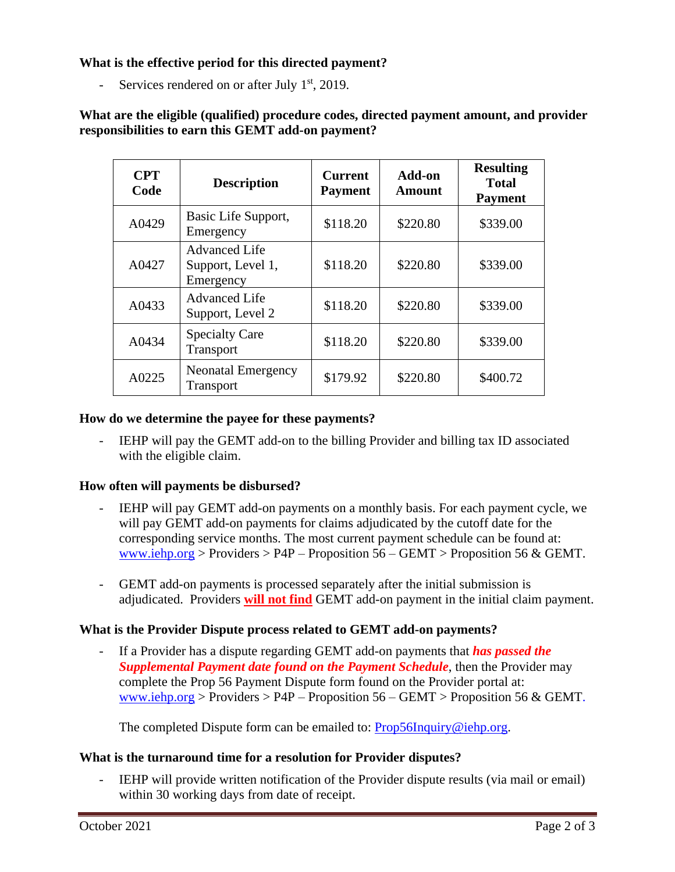**What is the effective period for this directed payment?** 

- Services rendered on or after July  $1<sup>st</sup>$ , 2019.

**What are the eligible (qualified) procedure codes, directed payment amount, and provider responsibilities to earn this GEMT add-on payment?**

| <b>CPT</b><br>Code | <b>Description</b>                                     | <b>Current</b><br><b>Payment</b> | Add-on<br>Amount | <b>Resulting</b><br><b>Total</b><br><b>Payment</b> |
|--------------------|--------------------------------------------------------|----------------------------------|------------------|----------------------------------------------------|
| A0429              | Basic Life Support,<br>Emergency                       | \$118.20                         | \$220.80         | \$339.00                                           |
| A0427              | <b>Advanced Life</b><br>Support, Level 1,<br>Emergency | \$118.20                         | \$220.80         | \$339.00                                           |
| A0433              | <b>Advanced Life</b><br>Support, Level 2               | \$118.20                         | \$220.80         | \$339.00                                           |
| A0434              | <b>Specialty Care</b><br>Transport                     | \$118.20                         | \$220.80         | \$339.00                                           |
| A0225              | <b>Neonatal Emergency</b><br><b>Transport</b>          | \$179.92                         | \$220.80         | \$400.72                                           |

#### **How do we determine the payee for these payments?**

IEHP will pay the GEMT add-on to the billing Provider and billing tax ID associated with the eligible claim.

## **How often will payments be disbursed?**

- IEHP will pay GEMT add-on payments on a monthly basis. For each payment cycle, we will pay GEMT add-on payments for claims adjudicated by the cutoff date for the corresponding service months. The most current payment schedule can be found at: [www.iehp.org](http://www.iehp.org/) > Providers > P4P – Proposition  $56 - \text{GEMT}$  > Proposition  $56 \& \text{GEMT}$ .
- GEMT add-on payments is processed separately after the initial submission is adjudicated. Providers **will not find** GEMT add-on payment in the initial claim payment.

## **What is the Provider Dispute process related to GEMT add-on payments?**

If a Provider has a dispute regarding GEMT add-on payments that **has passed the** *Supplemental Payment date found on the Payment Schedule*, then the Provider may complete the Prop 56 Payment Dispute form found on the Provider portal at: [www.iehp.org](http://www.iehp.org/) > Providers > P4P – Proposition  $56 - \text{GEMT}$  > Proposition  $56 \& \text{GEMT}$ .

The completed Dispute form can be emailed to: [Prop56Inquiry@iehp.org.](mailto:Prop56Inquiry@iehp.org)

# **What is the turnaround time for a resolution for Provider disputes?**

IEHP will provide written notification of the Provider dispute results (via mail or email) within 30 working days from date of receipt.